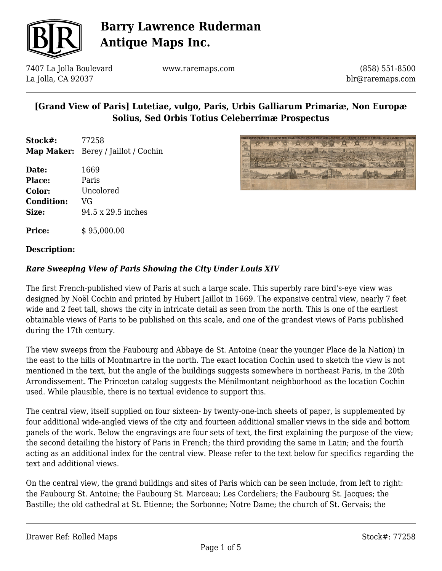

7407 La Jolla Boulevard La Jolla, CA 92037

www.raremaps.com

(858) 551-8500 blr@raremaps.com

## **[Grand View of Paris] Lutetiae, vulgo, Paris, Urbis Galliarum Primariæ, Non Europæ Solius, Sed Orbis Totius Celeberrimæ Prospectus**

**Stock#:** 77258 **Map Maker:** Berey / Jaillot / Cochin

**Date:** 1669 **Place:** Paris **Color:** Uncolored **Condition:** VG **Size:** 94.5 x 29.5 inches

**Price:**  $$95,000.00$ 



#### **Description:**

### *Rare Sweeping View of Paris Showing the City Under Louis XIV*

The first French-published view of Paris at such a large scale. This superbly rare bird's-eye view was designed by Noël Cochin and printed by Hubert Jaillot in 1669. The expansive central view, nearly 7 feet wide and 2 feet tall, shows the city in intricate detail as seen from the north. This is one of the earliest obtainable views of Paris to be published on this scale, and one of the grandest views of Paris published during the 17th century.

The view sweeps from the Faubourg and Abbaye de St. Antoine (near the younger Place de la Nation) in the east to the hills of Montmartre in the north. The exact location Cochin used to sketch the view is not mentioned in the text, but the angle of the buildings suggests somewhere in northeast Paris, in the 20th Arrondissement. The Princeton catalog suggests the Ménilmontant neighborhood as the location Cochin used. While plausible, there is no textual evidence to support this.

The central view, itself supplied on four sixteen- by twenty-one-inch sheets of paper, is supplemented by four additional wide-angled views of the city and fourteen additional smaller views in the side and bottom panels of the work. Below the engravings are four sets of text, the first explaining the purpose of the view; the second detailing the history of Paris in French; the third providing the same in Latin; and the fourth acting as an additional index for the central view. Please refer to the text below for specifics regarding the text and additional views.

On the central view, the grand buildings and sites of Paris which can be seen include, from left to right: the Faubourg St. Antoine; the Faubourg St. Marceau; Les Cordeliers; the Faubourg St. Jacques; the Bastille; the old cathedral at St. Etienne; the Sorbonne; Notre Dame; the church of St. Gervais; the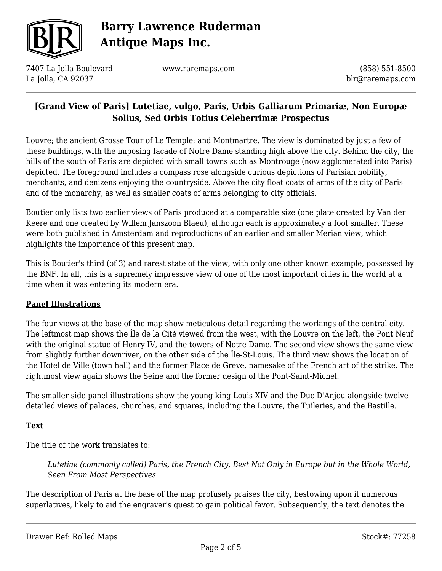

7407 La Jolla Boulevard La Jolla, CA 92037

www.raremaps.com

(858) 551-8500 blr@raremaps.com

## **[Grand View of Paris] Lutetiae, vulgo, Paris, Urbis Galliarum Primariæ, Non Europæ Solius, Sed Orbis Totius Celeberrimæ Prospectus**

Louvre; the ancient Grosse Tour of Le Temple; and Montmartre. The view is dominated by just a few of these buildings, with the imposing facade of Notre Dame standing high above the city. Behind the city, the hills of the south of Paris are depicted with small towns such as Montrouge (now agglomerated into Paris) depicted. The foreground includes a compass rose alongside curious depictions of Parisian nobility, merchants, and denizens enjoying the countryside. Above the city float coats of arms of the city of Paris and of the monarchy, as well as smaller coats of arms belonging to city officials.

Boutier only lists two earlier views of Paris produced at a comparable size (one plate created by Van der Keere and one created by Willem Janszoon Blaeu), although each is approximately a foot smaller. These were both published in Amsterdam and reproductions of an earlier and smaller Merian view, which highlights the importance of this present map.

This is Boutier's third (of 3) and rarest state of the view, with only one other known example, possessed by the BNF. In all, this is a supremely impressive view of one of the most important cities in the world at a time when it was entering its modern era.

### **Panel Illustrations**

The four views at the base of the map show meticulous detail regarding the workings of the central city. The leftmost map shows the Île de la Cité viewed from the west, with the Louvre on the left, the Pont Neuf with the original statue of Henry IV, and the towers of Notre Dame. The second view shows the same view from slightly further downriver, on the other side of the Île-St-Louis. The third view shows the location of the Hotel de Ville (town hall) and the former Place de Greve, namesake of the French art of the strike. The rightmost view again shows the Seine and the former design of the Pont-Saint-Michel.

The smaller side panel illustrations show the young king Louis XIV and the Duc D'Anjou alongside twelve detailed views of palaces, churches, and squares, including the Louvre, the Tuileries, and the Bastille.

#### **Text**

The title of the work translates to:

*Lutetiae (commonly called) Paris, the French City, Best Not Only in Europe but in the Whole World, Seen From Most Perspectives*

The description of Paris at the base of the map profusely praises the city, bestowing upon it numerous superlatives, likely to aid the engraver's quest to gain political favor. Subsequently, the text denotes the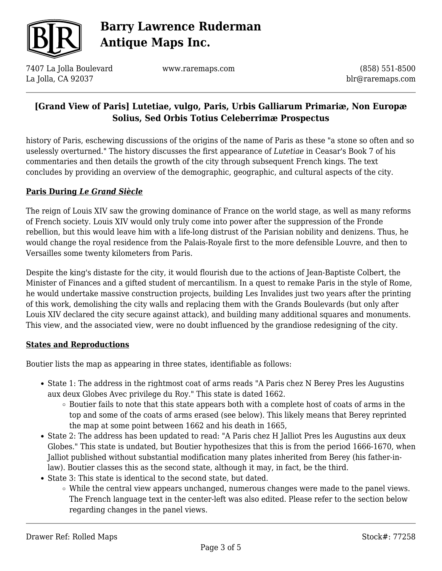

7407 La Jolla Boulevard La Jolla, CA 92037

www.raremaps.com

(858) 551-8500 blr@raremaps.com

## **[Grand View of Paris] Lutetiae, vulgo, Paris, Urbis Galliarum Primariæ, Non Europæ Solius, Sed Orbis Totius Celeberrimæ Prospectus**

history of Paris, eschewing discussions of the origins of the name of Paris as these "a stone so often and so uselessly overturned." The history discusses the first appearance of *Lutetiae* in Ceasar's Book 7 of his commentaries and then details the growth of the city through subsequent French kings. The text concludes by providing an overview of the demographic, geographic, and cultural aspects of the city.

### **Paris During** *Le Grand Siècle*

The reign of Louis XIV saw the growing dominance of France on the world stage, as well as many reforms of French society. Louis XIV would only truly come into power after the suppression of the Fronde rebellion, but this would leave him with a life-long distrust of the Parisian nobility and denizens. Thus, he would change the royal residence from the Palais-Royale first to the more defensible Louvre, and then to Versailles some twenty kilometers from Paris.

Despite the king's distaste for the city, it would flourish due to the actions of Jean-Baptiste Colbert, the Minister of Finances and a gifted student of mercantilism. In a quest to remake Paris in the style of Rome, he would undertake massive construction projects, building Les Invalides just two years after the printing of this work, demolishing the city walls and replacing them with the Grands Boulevards (but only after Louis XIV declared the city secure against attack), and building many additional squares and monuments. This view, and the associated view, were no doubt influenced by the grandiose redesigning of the city.

### **States and Reproductions**

Boutier lists the map as appearing in three states, identifiable as follows:

- State 1: The address in the rightmost coat of arms reads "A Paris chez N Berey Pres les Augustins aux deux Globes Avec privilege du Roy." This state is dated 1662.
	- Boutier fails to note that this state appears both with a complete host of coats of arms in the top and some of the coats of arms erased (see below). This likely means that Berey reprinted the map at some point between 1662 and his death in 1665,
- State 2: The address has been updated to read: "A Paris chez H Jalliot Pres les Augustins aux deux Globes." This state is undated, but Boutier hypothesizes that this is from the period 1666-1670, when Jalliot published without substantial modification many plates inherited from Berey (his father-inlaw). Boutier classes this as the second state, although it may, in fact, be the third.
- State 3: This state is identical to the second state, but dated.
	- While the central view appears unchanged, numerous changes were made to the panel views. The French language text in the center-left was also edited. Please refer to the section below regarding changes in the panel views.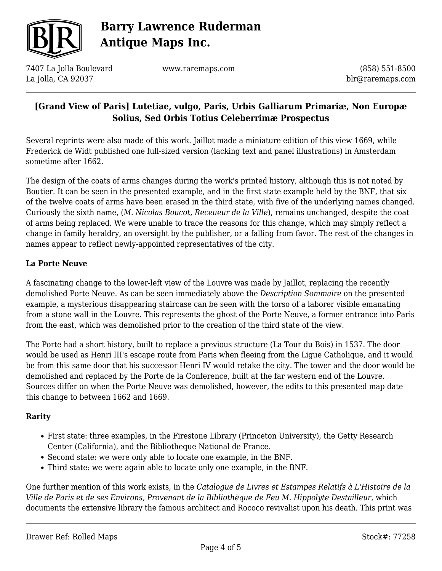

7407 La Jolla Boulevard La Jolla, CA 92037

www.raremaps.com

(858) 551-8500 blr@raremaps.com

### **[Grand View of Paris] Lutetiae, vulgo, Paris, Urbis Galliarum Primariæ, Non Europæ Solius, Sed Orbis Totius Celeberrimæ Prospectus**

Several reprints were also made of this work. Jaillot made a miniature edition of this view 1669, while Frederick de Widt published one full-sized version (lacking text and panel illustrations) in Amsterdam sometime after 1662.

The design of the coats of arms changes during the work's printed history, although this is not noted by Boutier. It can be seen in the presented example, and in the first state example held by the BNF, that six of the twelve coats of arms have been erased in the third state, with five of the underlying names changed. Curiously the sixth name, (*M. Nicolas Boucot, Receueur de la Ville*), remains unchanged, despite the coat of arms being replaced. We were unable to trace the reasons for this change, which may simply reflect a change in family heraldry, an oversight by the publisher, or a falling from favor. The rest of the changes in names appear to reflect newly-appointed representatives of the city.

### **La Porte Neuve**

A fascinating change to the lower-left view of the Louvre was made by Jaillot, replacing the recently demolished Porte Neuve. As can be seen immediately above the *Description Sommaire* on the presented example, a mysterious disappearing staircase can be seen with the torso of a laborer visible emanating from a stone wall in the Louvre. This represents the ghost of the Porte Neuve, a former entrance into Paris from the east, which was demolished prior to the creation of the third state of the view.

The Porte had a short history, built to replace a previous structure (La Tour du Bois) in 1537. The door would be used as Henri III's escape route from Paris when fleeing from the Ligue Catholique, and it would be from this same door that his successor Henri IV would retake the city. The tower and the door would be demolished and replaced by the Porte de la Conference, built at the far western end of the Louvre. Sources differ on when the Porte Neuve was demolished, however, the edits to this presented map date this change to between 1662 and 1669.

### **Rarity**

- First state: three examples, in the Firestone Library (Princeton University), the Getty Research Center (California), and the Bibliotheque National de France.
- Second state: we were only able to locate one example, in the BNF.
- Third state: we were again able to locate only one example, in the BNF.

One further mention of this work exists, in the *Catalogue de Livres et Estampes Relatifs à L'Histoire de la Ville de Paris et de ses Environs, Provenant de la Bibliothèque de Feu M. Hippolyte Destailleur*, which documents the extensive library the famous architect and Rococo revivalist upon his death. This print was